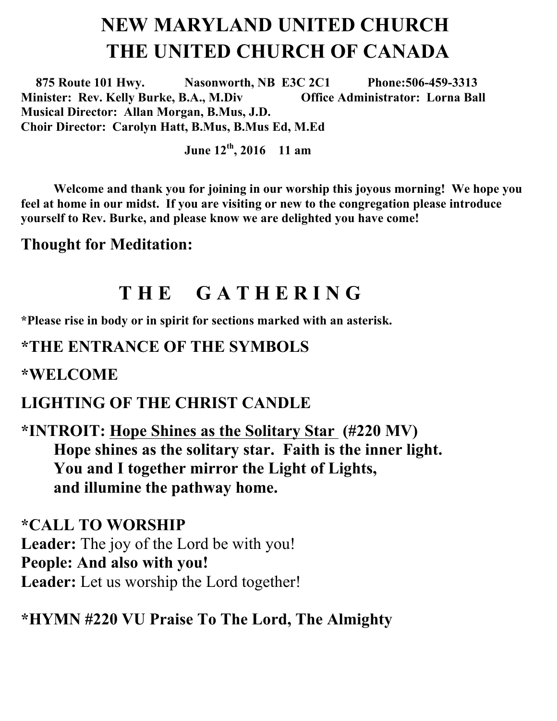# **NEW MARYLAND UNITED CHURCH THE UNITED CHURCH OF CANADA**

 **875 Route 101 Hwy. Nasonworth, NB E3C 2C1 Phone:506-459-3313 Minister: Rev. Kelly Burke, B.A., M.Div Office Administrator: Lorna Ball Musical Director: Allan Morgan, B.Mus, J.D. Choir Director: Carolyn Hatt, B.Mus, B.Mus Ed, M.Ed**

**June 12th , 2016 11 am**

**Welcome and thank you for joining in our worship this joyous morning! We hope you feel at home in our midst. If you are visiting or new to the congregation please introduce yourself to Rev. Burke, and please know we are delighted you have come!**

**Thought for Meditation:**

# **T H E G A T H E R I N G**

**\*Please rise in body or in spirit for sections marked with an asterisk.**

#### **\*THE ENTRANCE OF THE SYMBOLS**

**\*WELCOME** 

#### **LIGHTING OF THE CHRIST CANDLE**

**\*INTROIT: Hope Shines as the Solitary Star (#220 MV) Hope shines as the solitary star. Faith is the inner light. You and I together mirror the Light of Lights, and illumine the pathway home.**

**\*CALL TO WORSHIP Leader:** The joy of the Lord be with you! **People: And also with you! Leader:** Let us worship the Lord together!

**\*HYMN #220 VU Praise To The Lord, The Almighty**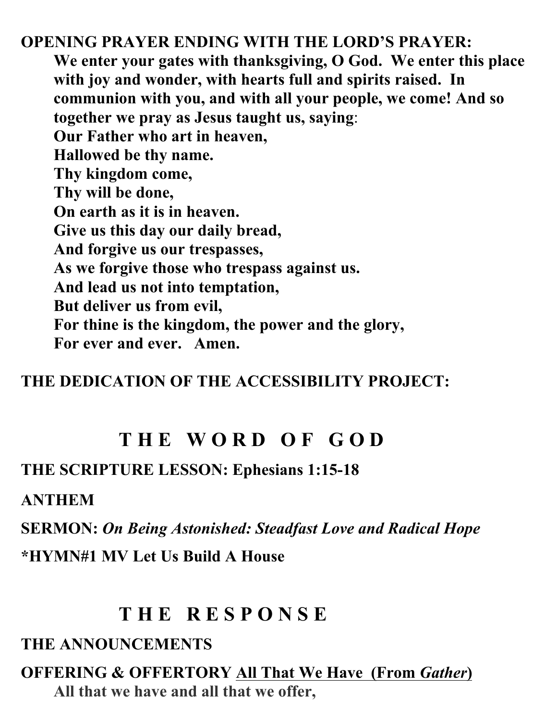**OPENING PRAYER ENDING WITH THE LORD'S PRAYER: We enter your gates with thanksgiving, O God. We enter this place with joy and wonder, with hearts full and spirits raised. In communion with you, and with all your people, we come! And so together we pray as Jesus taught us, saying**: **Our Father who art in heaven, Hallowed be thy name. Thy kingdom come, Thy will be done, On earth as it is in heaven. Give us this day our daily bread, And forgive us our trespasses, As we forgive those who trespass against us. And lead us not into temptation, But deliver us from evil, For thine is the kingdom, the power and the glory, For ever and ever. Amen.**

## **THE DEDICATION OF THE ACCESSIBILITY PROJECT:**

# **T H E W O R D O F G O D**

#### **THE SCRIPTURE LESSON: Ephesians 1:15-18**

**ANTHEM**

**SERMON:** *On Being Astonished: Steadfast Love and Radical Hope*

**\*HYMN#1 MV Let Us Build A House**

# **T H E R E S P O N S E**

### **THE ANNOUNCEMENTS**

**OFFERING & OFFERTORY All That We Have (From** *Gather***) All that we have and all that we offer,**